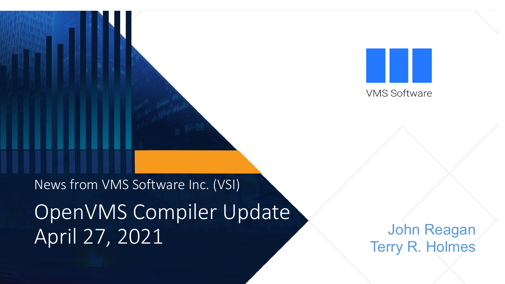**VMS Software** 

News from VMS Software Inc. (VSI)

OpenVMS Compiler Update April 27, 2021

John Reagan Terry R. Holmes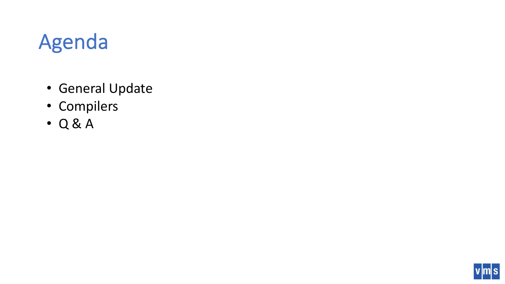# Agenda

- General Update
- Compilers
- Q & A

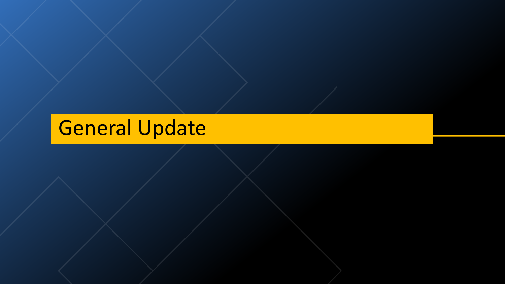# General Update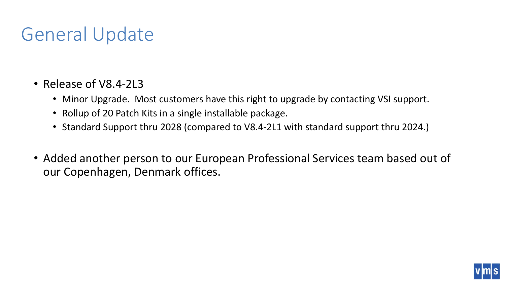### General Update

- Release of V8.4-2L3
	- Minor Upgrade. Most customers have this right to upgrade by contacting VSI support.
	- Rollup of 20 Patch Kits in a single installable package.
	- Standard Support thru 2028 (compared to V8.4-2L1 with standard support thru 2024.)
- Added another person to our European Professional Services team based out of our Copenhagen, Denmark offices.

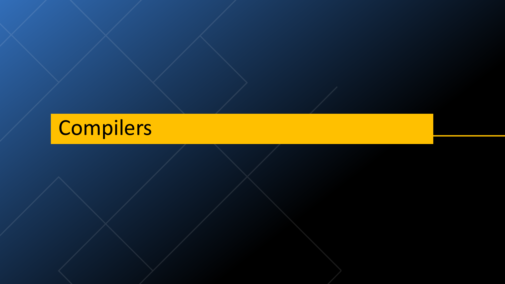# Compilers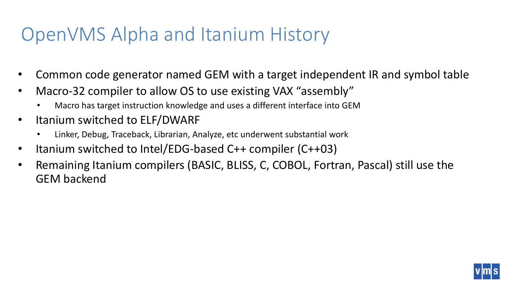#### OpenVMS Alpha and Itanium History

- Common code generator named GEM with a target independent IR and symbol table
- Macro-32 compiler to allow OS to use existing VAX "assembly"
	- Macro has target instruction knowledge and uses a different interface into GEM
- Itanium switched to ELF/DWARF
	- Linker, Debug, Traceback, Librarian, Analyze, etc underwent substantial work
- Itanium switched to Intel/EDG-based C++ compiler (C++03)
- Remaining Itanium compilers (BASIC, BLISS, C, COBOL, Fortran, Pascal) still use the GEM backend

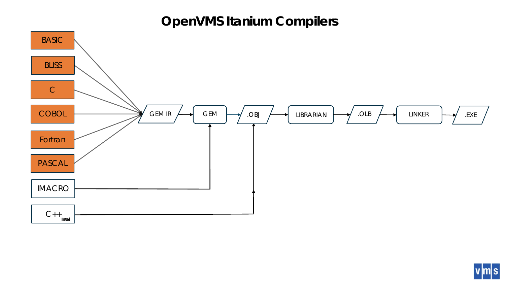#### **OpenVMS Itanium Compilers**



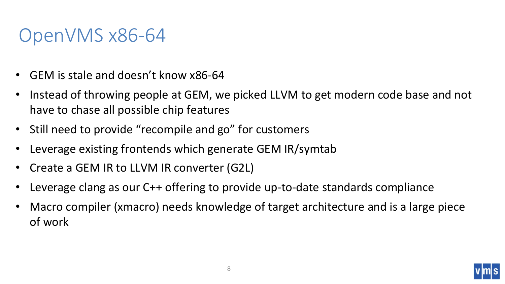#### OpenVMS x86-64

- GEM is stale and doesn't know x86-64
- Instead of throwing people at GEM, we picked LLVM to get modern code base and not have to chase all possible chip features
- Still need to provide "recompile and go" for customers
- Leverage existing frontends which generate GEM IR/symtab
- Create a GEM IR to LLVM IR converter (G2L)
- Leverage clang as our C++ offering to provide up-to-date standards compliance
- Macro compiler (xmacro) needs knowledge of target architecture and is a large piece of work

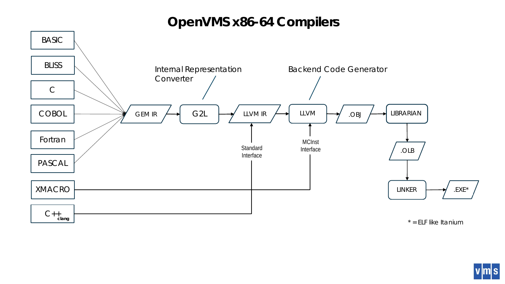#### **OpenVMS x86-64 Compilers**



 $|m|s$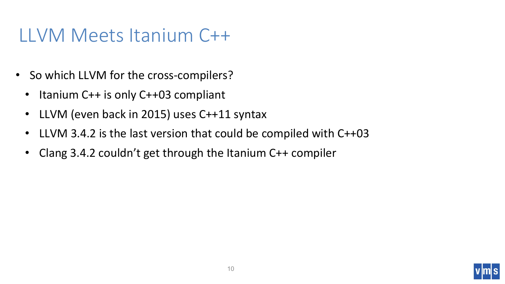#### LLVM Meets Itanium C++

- So which LLVM for the cross-compilers?
	- Itanium C++ is only C++03 compliant
	- LLVM (even back in 2015) uses C++11 syntax
	- LLVM 3.4.2 is the last version that could be compiled with C++03
	- Clang 3.4.2 couldn't get through the Itanium C++ compiler

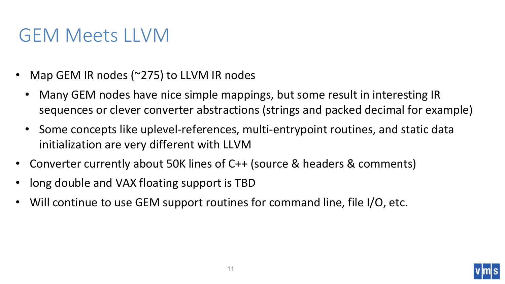#### GEM Meets LLVM

- Map GEM IR nodes (~275) to LLVM IR nodes
	- Many GEM nodes have nice simple mappings, but some result in interesting IR sequences or clever converter abstractions (strings and packed decimal for example)
	- Some concepts like uplevel-references, multi-entrypoint routines, and static data initialization are very different with LLVM
- Converter currently about 50K lines of C++ (source & headers & comments)
- long double and VAX floating support is TBD
- Will continue to use GEM support routines for command line, file I/O, etc.

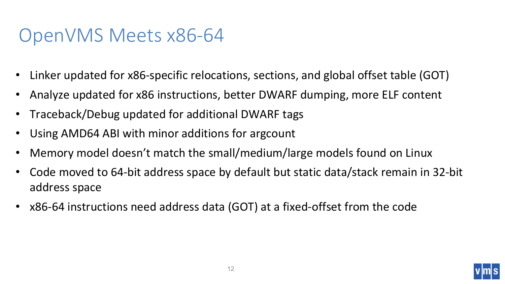#### OpenVMS Meets x86-64

- Linker updated for x86-specific relocations, sections, and global offset table (GOT)
- Analyze updated for x86 instructions, better DWARF dumping, more ELF content
- Traceback/Debug updated for additional DWARF tags
- Using AMD64 ABI with minor additions for argcount
- Memory model doesn't match the small/medium/large models found on Linux
- Code moved to 64-bit address space by default but static data/stack remain in 32-bit address space
- x86-64 instructions need address data (GOT) at a fixed-offset from the code

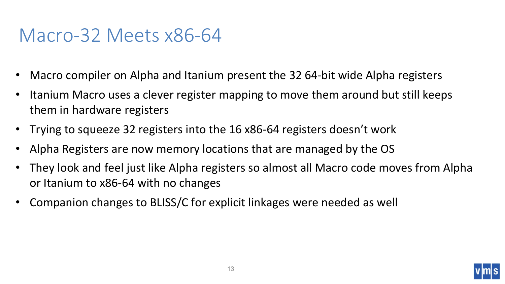#### Macro-32 Meets x86-64

- Macro compiler on Alpha and Itanium present the 32 64-bit wide Alpha registers
- Itanium Macro uses a clever register mapping to move them around but still keeps them in hardware registers
- Trying to squeeze 32 registers into the 16 x86-64 registers doesn't work
- Alpha Registers are now memory locations that are managed by the OS
- They look and feel just like Alpha registers so almost all Macro code moves from Alpha or Itanium to x86-64 with no changes
- Companion changes to BLISS/C for explicit linkages were needed as well

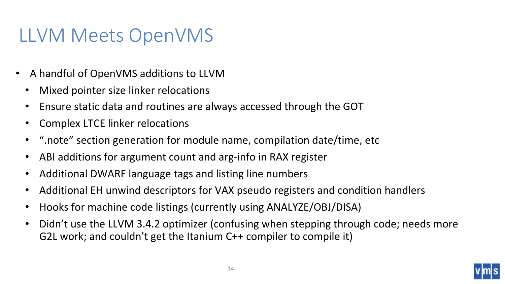#### LLVM Meets OpenVMS

- A handful of OpenVMS additions to LLVM
	- Mixed pointer size linker relocations
	- Ensure static data and routines are always accessed through the GOT
	- Complex LTCE linker relocations
	- ".note" section generation for module name, compilation date/time, etc
	- ABI additions for argument count and arg-info in RAX register
	- Additional DWARF language tags and listing line numbers
	- Additional EH unwind descriptors for VAX pseudo registers and condition handlers
	- Hooks for machine code listings (currently using ANALYZE/OBJ/DISA)
	- Didn't use the LLVM 3.4.2 optimizer (confusing when stepping through code; needs more G2L work; and couldn't get the Itanium C++ compiler to compile it)

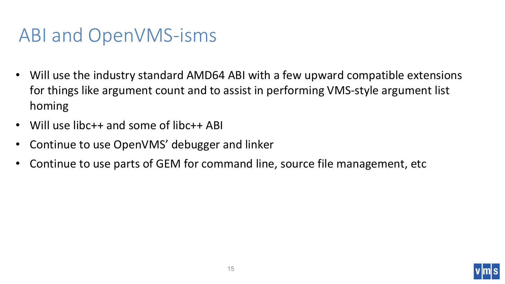#### ABI and OpenVMS-isms

- Will use the industry standard AMD64 ABI with a few upward compatible extensions for things like argument count and to assist in performing VMS-style argument list homing
- Will use libc++ and some of libc++ ABI
- Continue to use OpenVMS' debugger and linker
- Continue to use parts of GEM for command line, source file management, etc

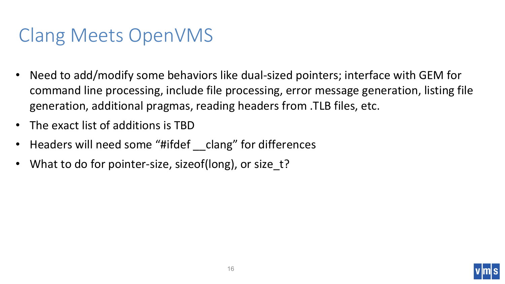### Clang Meets OpenVMS

- Need to add/modify some behaviors like dual-sized pointers; interface with GEM for command line processing, include file processing, error message generation, listing file generation, additional pragmas, reading headers from .TLB files, etc.
- The exact list of additions is TBD
- Headers will need some "#ifdef \_\_clang" for differences
- What to do for pointer-size, sizeof(long), or size t?

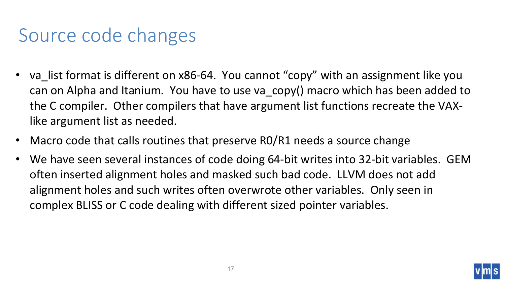### Source code changes

- va list format is different on x86-64. You cannot "copy" with an assignment like you can on Alpha and Itanium. You have to use va\_copy() macro which has been added to the C compiler. Other compilers that have argument list functions recreate the VAXlike argument list as needed.
- Macro code that calls routines that preserve RO/R1 needs a source change
- We have seen several instances of code doing 64-bit writes into 32-bit variables. GEM often inserted alignment holes and masked such bad code. LLVM does not add alignment holes and such writes often overwrote other variables. Only seen in complex BLISS or C code dealing with different sized pointer variables.

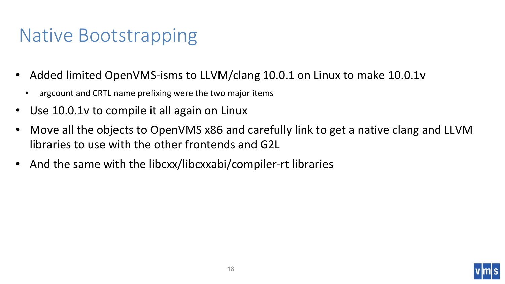### Native Bootstrapping

- Added limited OpenVMS-isms to LLVM/clang 10.0.1 on Linux to make 10.0.1v
	- argcount and CRTL name prefixing were the two major items
- Use 10.0.1v to compile it all again on Linux
- Move all the objects to OpenVMS x86 and carefully link to get a native clang and LLVM libraries to use with the other frontends and G2L
- And the same with the libcxx/libcxxabi/compiler-rt libraries

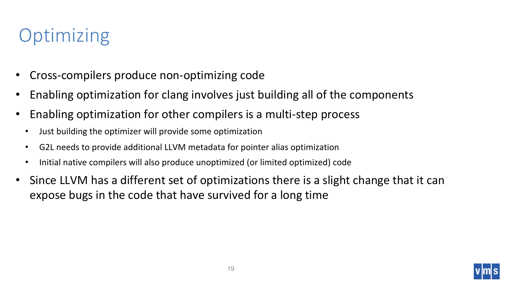# **Optimizing**

- Cross-compilers produce non-optimizing code
- Enabling optimization for clang involves just building all of the components
- Enabling optimization for other compilers is a multi-step process
	- Just building the optimizer will provide some optimization
	- G2L needs to provide additional LLVM metadata for pointer alias optimization
	- Initial native compilers will also produce unoptimized (or limited optimized) code
- Since LLVM has a different set of optimizations there is a slight change that it can expose bugs in the code that have survived for a long time

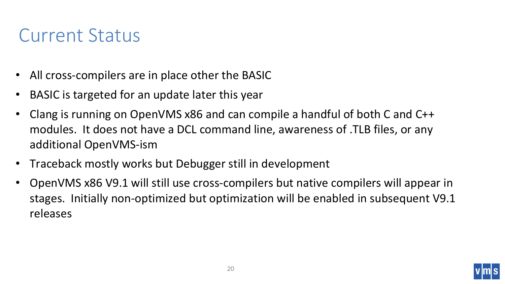#### Current Status

- All cross-compilers are in place other the BASIC
- BASIC is targeted for an update later this year
- Clang is running on OpenVMS x86 and can compile a handful of both C and C++ modules. It does not have a DCL command line, awareness of .TLB files, or any additional OpenVMS-ism
- Traceback mostly works but Debugger still in development
- OpenVMS x86 V9.1 will still use cross-compilers but native compilers will appear in stages. Initially non-optimized but optimization will be enabled in subsequent V9.1 releases

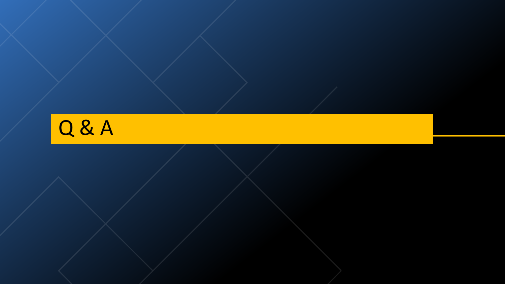